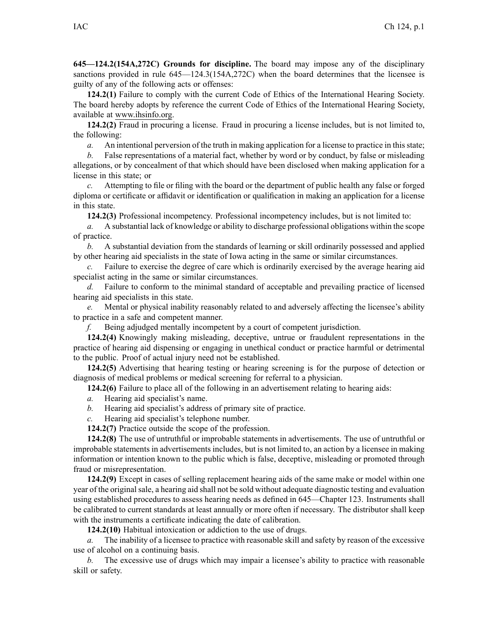**645—124.2(154A,272C) Grounds for discipline.** The board may impose any of the disciplinary sanctions provided in rule [645—124.3](https://www.legis.iowa.gov/docs/iac/rule/645.124.3.pdf)(154A,272C) when the board determines that the licensee is guilty of any of the following acts or offenses:

**124.2(1)** Failure to comply with the current Code of Ethics of the International Hearing Society. The board hereby adopts by reference the current Code of Ethics of the International Hearing Society, available at www.ihsinfo.org.

**124.2(2)** Fraud in procuring <sup>a</sup> license. Fraud in procuring <sup>a</sup> license includes, but is not limited to, the following:

*a.* An intentional perversion of the truth in making application for a license to practice in this state;

*b.* False representations of <sup>a</sup> material fact, whether by word or by conduct, by false or misleading allegations, or by concealment of that which should have been disclosed when making application for <sup>a</sup> license in this state; or

*c.* Attempting to file or filing with the board or the department of public health any false or forged diploma or certificate or affidavit or identification or qualification in making an application for <sup>a</sup> license in this state.

**124.2(3)** Professional incompetency. Professional incompetency includes, but is not limited to:

*a.* A substantial lack of knowledge or ability to discharge professional obligations within the scope of practice.

*b.* A substantial deviation from the standards of learning or skill ordinarily possessed and applied by other hearing aid specialists in the state of Iowa acting in the same or similar circumstances.

*c.* Failure to exercise the degree of care which is ordinarily exercised by the average hearing aid specialist acting in the same or similar circumstances.

*d.* Failure to conform to the minimal standard of acceptable and prevailing practice of licensed hearing aid specialists in this state.

*e.* Mental or physical inability reasonably related to and adversely affecting the licensee's ability to practice in <sup>a</sup> safe and competent manner.

*f.* Being adjudged mentally incompetent by <sup>a</sup> court of competent jurisdiction.

**124.2(4)** Knowingly making misleading, deceptive, untrue or fraudulent representations in the practice of hearing aid dispensing or engaging in unethical conduct or practice harmful or detrimental to the public. Proof of actual injury need not be established.

**124.2(5)** Advertising that hearing testing or hearing screening is for the purpose of detection or diagnosis of medical problems or medical screening for referral to <sup>a</sup> physician.

**124.2(6)** Failure to place all of the following in an advertisement relating to hearing aids:

- *a.* Hearing aid specialist's name.
- *b.* Hearing aid specialist's address of primary site of practice.
- *c.* Hearing aid specialist's telephone number.

**124.2(7)** Practice outside the scope of the profession.

**124.2(8)** The use of untruthful or improbable statements in advertisements. The use of untruthful or improbable statements in advertisements includes, but is not limited to, an action by <sup>a</sup> licensee in making information or intention known to the public which is false, deceptive, misleading or promoted through fraud or misrepresentation.

**124.2(9)** Except in cases of selling replacement hearing aids of the same make or model within one year of the originalsale, <sup>a</sup> hearing aid shall not be sold without adequate diagnostic testing and evaluation using established procedures to assess hearing needs as defined in [645—Chapter](https://www.legis.iowa.gov/docs/iac/chapter/645.123.pdf) 123. Instruments shall be calibrated to current standards at least annually or more often if necessary. The distributor shall keep with the instruments <sup>a</sup> certificate indicating the date of calibration.

**124.2(10)** Habitual intoxication or addiction to the use of drugs.

*a.* The inability of <sup>a</sup> licensee to practice with reasonable skill and safety by reason of the excessive use of alcohol on <sup>a</sup> continuing basis.

*b.* The excessive use of drugs which may impair <sup>a</sup> licensee's ability to practice with reasonable skill or safety.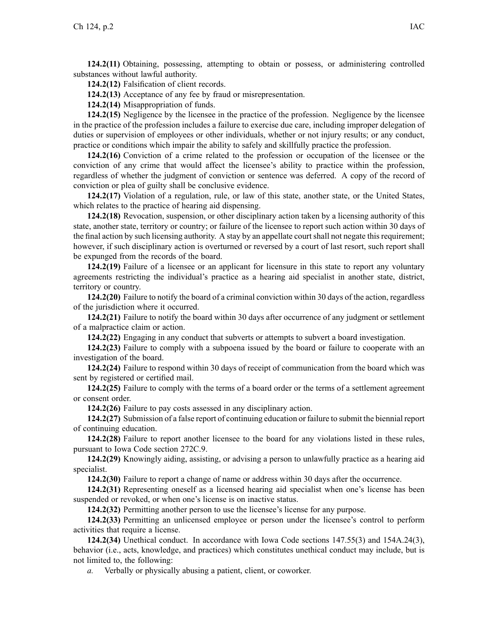**124.2(11)** Obtaining, possessing, attempting to obtain or possess, or administering controlled substances without lawful authority.

**124.2(12)** Falsification of client records.

**124.2(13)** Acceptance of any fee by fraud or misrepresentation.

**124.2(14)** Misappropriation of funds.

**124.2(15)** Negligence by the licensee in the practice of the profession. Negligence by the licensee in the practice of the profession includes <sup>a</sup> failure to exercise due care, including improper delegation of duties or supervision of employees or other individuals, whether or not injury results; or any conduct, practice or conditions which impair the ability to safely and skillfully practice the profession.

**124.2(16)** Conviction of <sup>a</sup> crime related to the profession or occupation of the licensee or the conviction of any crime that would affect the licensee's ability to practice within the profession, regardless of whether the judgment of conviction or sentence was deferred. A copy of the record of conviction or plea of guilty shall be conclusive evidence.

**124.2(17)** Violation of <sup>a</sup> regulation, rule, or law of this state, another state, or the United States, which relates to the practice of hearing aid dispensing.

**124.2(18)** Revocation, suspension, or other disciplinary action taken by <sup>a</sup> licensing authority of this state, another state, territory or country; or failure of the licensee to repor<sup>t</sup> such action within 30 days of the final action by such licensing authority. A stay by an appellate courtshall not negate thisrequirement; however, if such disciplinary action is overturned or reversed by <sup>a</sup> court of last resort, such repor<sup>t</sup> shall be expunged from the records of the board.

**124.2(19)** Failure of <sup>a</sup> licensee or an applicant for licensure in this state to repor<sup>t</sup> any voluntary agreements restricting the individual's practice as <sup>a</sup> hearing aid specialist in another state, district, territory or country.

**124.2(20)** Failure to notify the board of <sup>a</sup> criminal conviction within 30 days of the action, regardless of the jurisdiction where it occurred.

**124.2(21)** Failure to notify the board within 30 days after occurrence of any judgment or settlement of <sup>a</sup> malpractice claim or action.

**124.2(22)** Engaging in any conduct that subverts or attempts to subvert <sup>a</sup> board investigation.

**124.2(23)** Failure to comply with <sup>a</sup> subpoena issued by the board or failure to cooperate with an investigation of the board.

**124.2(24)** Failure to respond within 30 days of receipt of communication from the board which was sent by registered or certified mail.

**124.2(25)** Failure to comply with the terms of <sup>a</sup> board order or the terms of <sup>a</sup> settlement agreemen<sup>t</sup> or consent order.

**124.2(26)** Failure to pay costs assessed in any disciplinary action.

**124.2(27)** Submission of <sup>a</sup> false repor<sup>t</sup> of continuing education or failure to submit the biennial repor<sup>t</sup> of continuing education.

**124.2(28)** Failure to repor<sup>t</sup> another licensee to the board for any violations listed in these rules, pursuan<sup>t</sup> to Iowa Code section [272C.9](https://www.legis.iowa.gov/docs/ico/section/272C.9.pdf).

**124.2(29)** Knowingly aiding, assisting, or advising <sup>a</sup> person to unlawfully practice as <sup>a</sup> hearing aid specialist.

**124.2(30)** Failure to repor<sup>t</sup> <sup>a</sup> change of name or address within 30 days after the occurrence.

**124.2(31)** Representing oneself as <sup>a</sup> licensed hearing aid specialist when one's license has been suspended or revoked, or when one's license is on inactive status.

**124.2(32)** Permitting another person to use the licensee's license for any purpose.

**124.2(33)** Permitting an unlicensed employee or person under the licensee's control to perform activities that require <sup>a</sup> license.

**124.2(34)** Unethical conduct. In accordance with Iowa Code sections [147.55\(3\)](https://www.legis.iowa.gov/docs/ico/section/147.55.pdf) and [154A.24\(3\)](https://www.legis.iowa.gov/docs/ico/section/2017/154A.24.pdf), behavior (i.e., acts, knowledge, and practices) which constitutes unethical conduct may include, but is not limited to, the following:

*a.* Verbally or physically abusing <sup>a</sup> patient, client, or coworker.